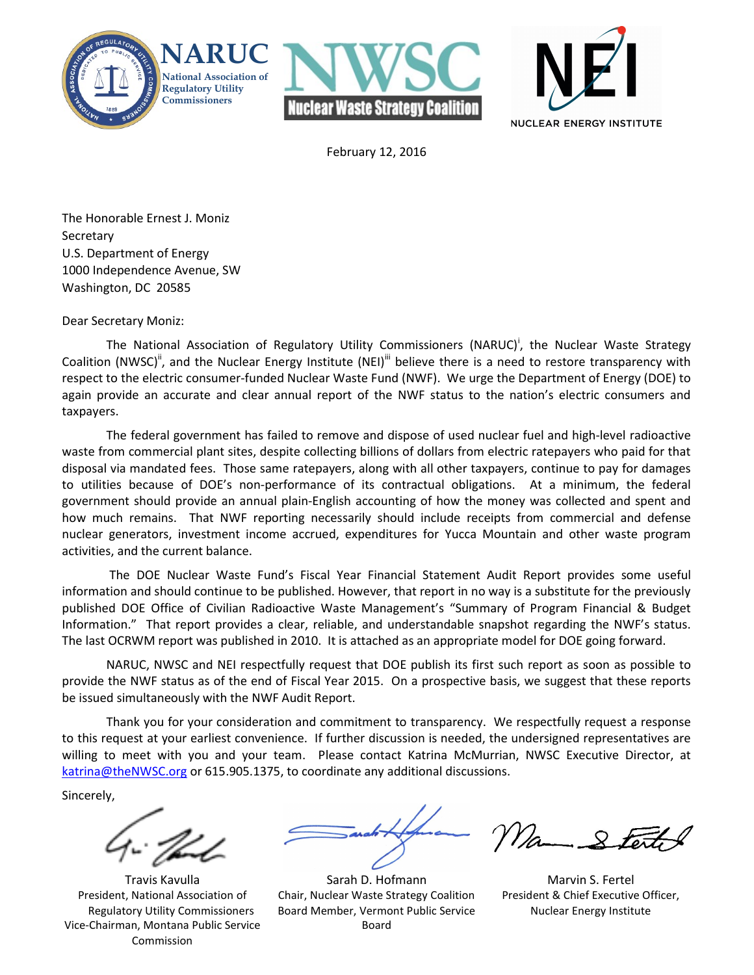





February 12, 2016

The Honorable Ernest J. Moniz **Secretary** U.S. Department of Energy 1000 Independence Avenue, SW Washington, DC 20585

#### Dear Secretary Moniz:

The National Association of Regulatory Utility Commissioners (NARUC)<sup>i</sup>, the Nuclear Waste Strategy Coalition (NWSC)<sup>ii</sup>, and the Nuclear Energy Institute (NEI)<sup>ii</sup> believe there is a need to restore transparency with respect to the electric consumer-funded Nuclear Waste Fund (NWF). We urge the Department of Energy (DOE) to again provide an accurate and clear annual report of the NWF status to the nation's electric consumers and taxpayers.

 The federal government has failed to remove and dispose of used nuclear fuel and high-level radioactive waste from commercial plant sites, despite collecting billions of dollars from electric ratepayers who paid for that disposal via mandated fees. Those same ratepayers, along with all other taxpayers, continue to pay for damages to utilities because of DOE's non-performance of its contractual obligations. At a minimum, the federal government should provide an annual plain-English accounting of how the money was collected and spent and how much remains. That NWF reporting necessarily should include receipts from commercial and defense nuclear generators, investment income accrued, expenditures for Yucca Mountain and other waste program activities, and the current balance.

 The DOE Nuclear Waste Fund's Fiscal Year Financial Statement Audit Report provides some useful information and should continue to be published. However, that report in no way is a substitute for the previously published DOE Office of Civilian Radioactive Waste Management's "Summary of Program Financial & Budget Information." That report provides a clear, reliable, and understandable snapshot regarding the NWF's status. The last OCRWM report was published in 2010. It is attached as an appropriate model for DOE going forward.

 NARUC, NWSC and NEI respectfully request that DOE publish its first such report as soon as possible to provide the NWF status as of the end of Fiscal Year 2015. On a prospective basis, we suggest that these reports be issued simultaneously with the NWF Audit Report.

 Thank you for your consideration and commitment to transparency. We respectfully request a response to this request at your earliest convenience. If further discussion is needed, the undersigned representatives are willing to meet with you and your team. Please contact Katrina McMurrian, NWSC Executive Director, at katrina@theNWSC.org or 615.905.1375, to coordinate any additional discussions.

Sincerely,

Travis Kavulla President, National Association of Regulatory Utility Commissioners Vice-Chairman, Montana Public Service Commission

Sarah D. Hofmann Chair, Nuclear Waste Strategy Coalition Board Member, Vermont Public Service Board

Ma-

Marvin S. Fertel President & Chief Executive Officer, Nuclear Energy Institute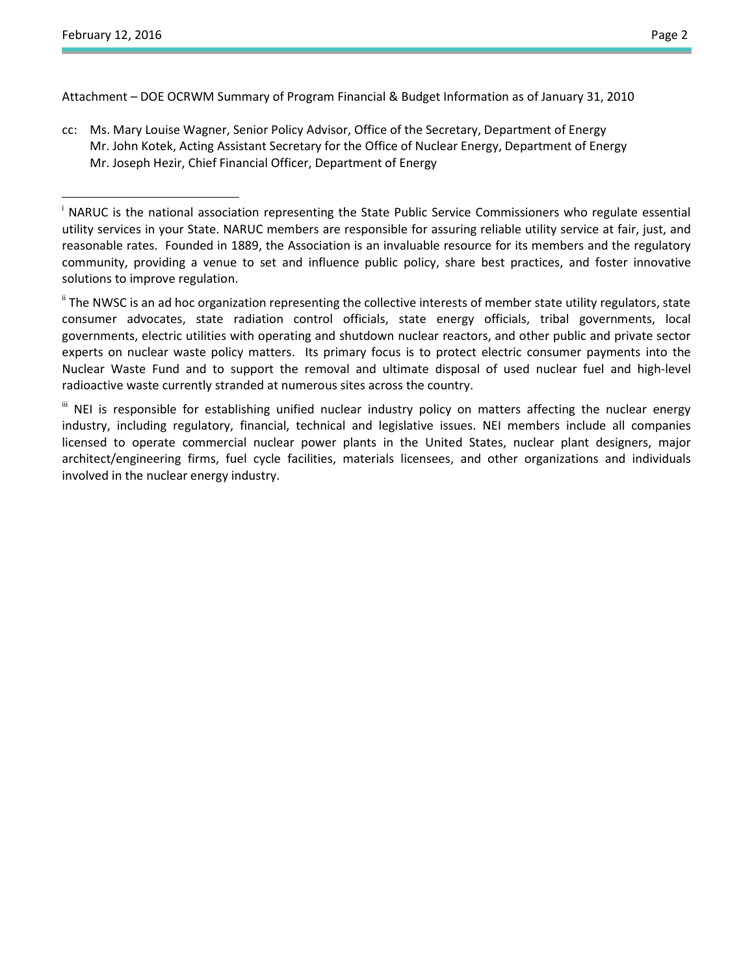l.

 $\overline{a}$ 

Attachment – DOE OCRWM Summary of Program Financial & Budget Information as of January 31, 2010

cc: Ms. Mary Louise Wagner, Senior Policy Advisor, Office of the Secretary, Department of Energy Mr. John Kotek, Acting Assistant Secretary for the Office of Nuclear Energy, Department of Energy Mr. Joseph Hezir, Chief Financial Officer, Department of Energy

" The NWSC is an ad hoc organization representing the collective interests of member state utility regulators, state consumer advocates, state radiation control officials, state energy officials, tribal governments, local governments, electric utilities with operating and shutdown nuclear reactors, and other public and private sector experts on nuclear waste policy matters. Its primary focus is to protect electric consumer payments into the Nuclear Waste Fund and to support the removal and ultimate disposal of used nuclear fuel and high-level radioactive waste currently stranded at numerous sites across the country.

<sup>&</sup>lt;sup>i</sup> NARUC is the national association representing the State Public Service Commissioners who regulate essential utility services in your State. NARUC members are responsible for assuring reliable utility service at fair, just, and reasonable rates. Founded in 1889, the Association is an invaluable resource for its members and the regulatory community, providing a venue to set and influence public policy, share best practices, and foster innovative solutions to improve regulation.

III NEI is responsible for establishing unified nuclear industry policy on matters affecting the nuclear energy industry, including regulatory, financial, technical and legislative issues. NEI members include all companies licensed to operate commercial nuclear power plants in the United States, nuclear plant designers, major architect/engineering firms, fuel cycle facilities, materials licensees, and other organizations and individuals involved in the nuclear energy industry.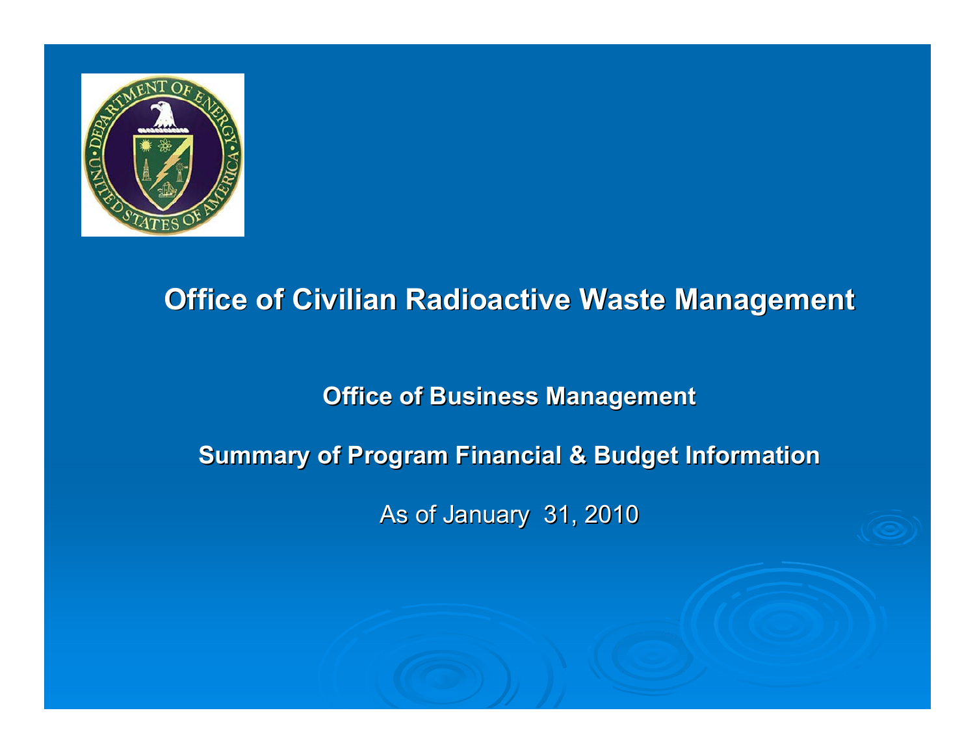

# **Office of Civilian Radioactive Waste Management**

## **Office of Business Management**

## **Summary of Program Financial & Budget Information**

As of January 31, 2010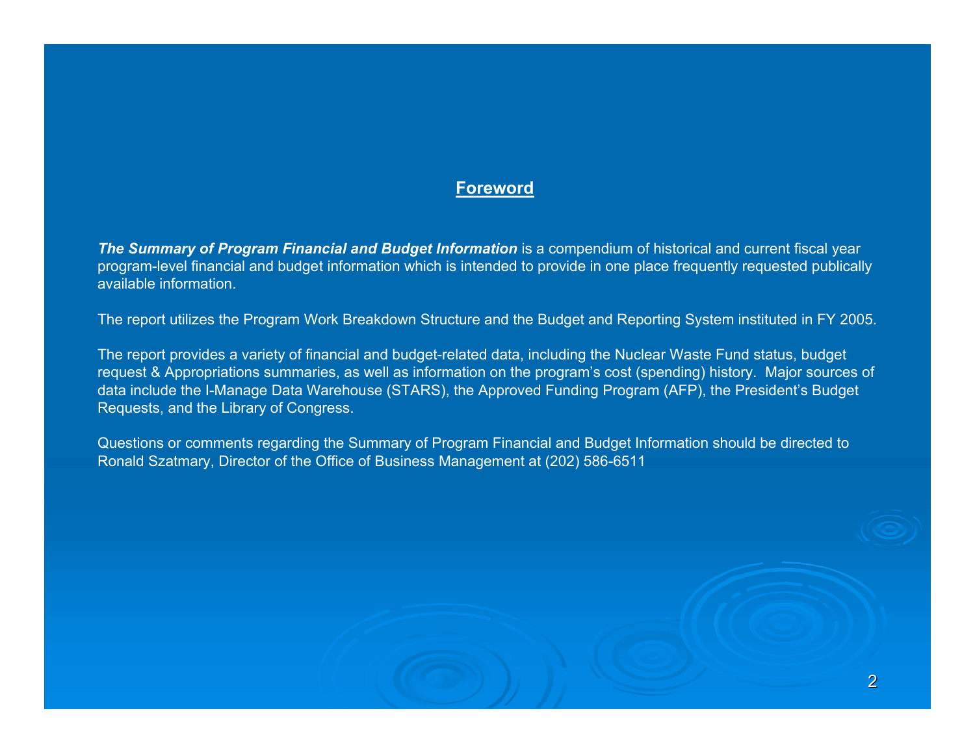#### **Foreword**

**The Summary of Program Financial and Budget Information** is a compendium of historical and current fiscal year program-level financial and budget information which is intended to provide in one place frequently requested publically available information.

The report utilizes the Program Work Breakdown Structure and the Budget and Reporting System instituted in FY 2005.

The report provides a variety of financial and budget-related data, including the Nuclear Waste Fund status, budget request & Appropriations summaries, as well as information on the program's cost (spending) history. Major sources of data include the I-Manage Data Warehouse (STARS), the Approved Funding Program (AFP), the President's Budget Requests, and the Library of Congress.

Questions or comments regarding the Summary of Program Financial and Budget Information should be directed to Ronald Szatmary, Director of the Office of Business Management at (202) 586-6511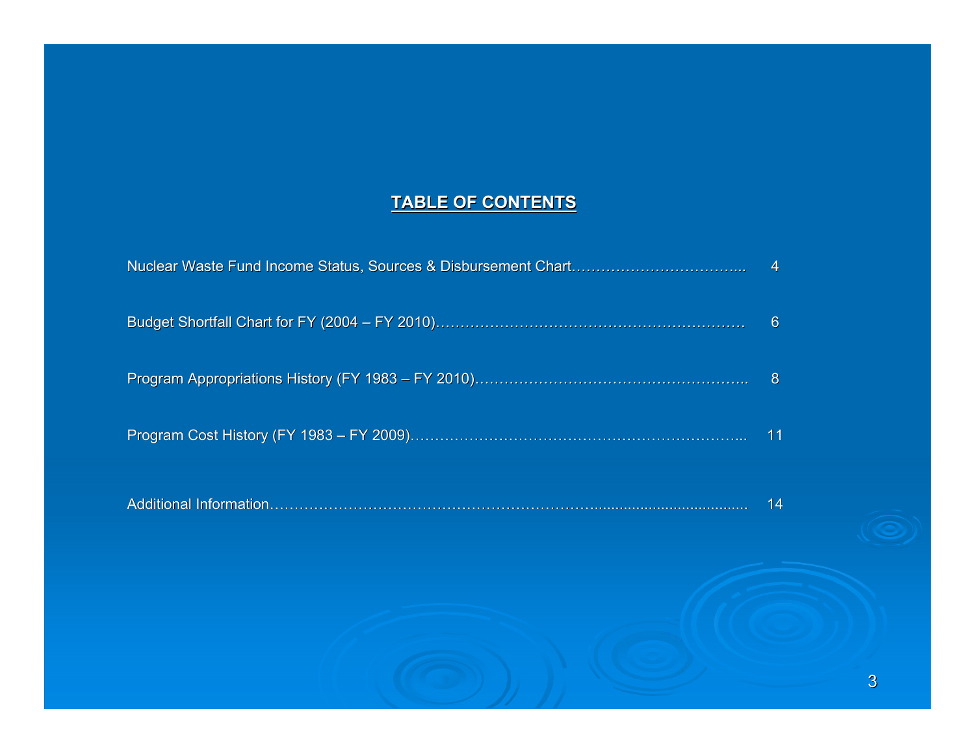#### **TABLE OF CONTENTS**

| $\sim$ 4        |
|-----------------|
| -6              |
| - 8             |
| $\overline{11}$ |

|  | 14 |
|--|----|
|--|----|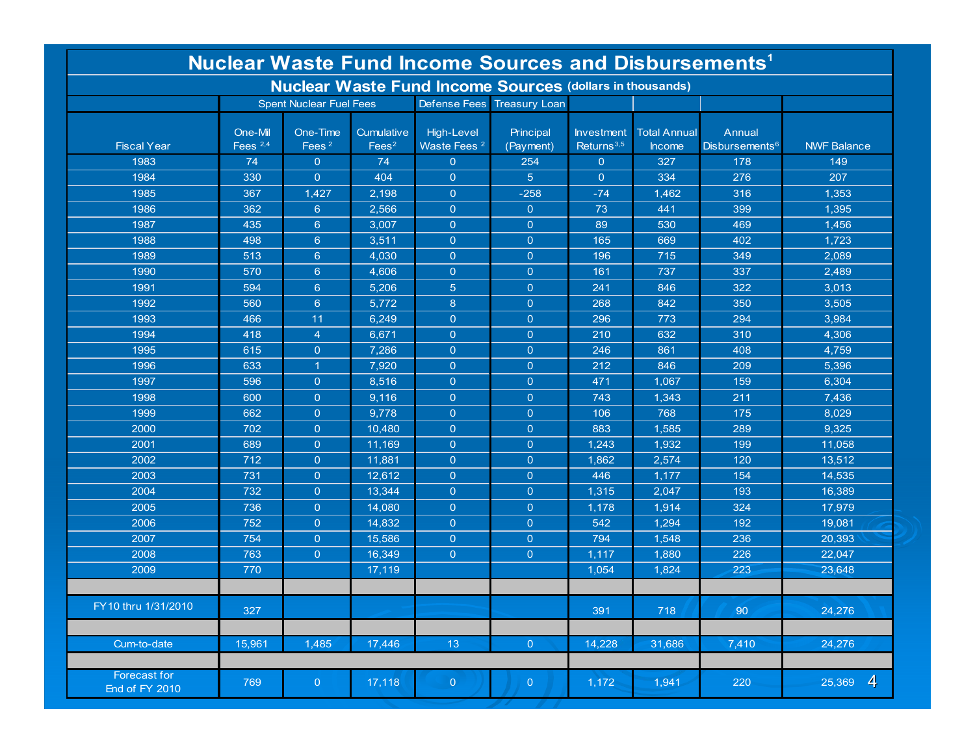| <b>Nuclear Waste Fund Income Sources and Disbursements<sup>1</sup></b> |                       |                                |                                 |                                              |                            |                                             |                                      |                                      |                          |  |  |  |
|------------------------------------------------------------------------|-----------------------|--------------------------------|---------------------------------|----------------------------------------------|----------------------------|---------------------------------------------|--------------------------------------|--------------------------------------|--------------------------|--|--|--|
| <b>Nuclear Waste Fund Income Sources (dollars in thousands)</b>        |                       |                                |                                 |                                              |                            |                                             |                                      |                                      |                          |  |  |  |
|                                                                        |                       | <b>Spent Nuclear Fuel Fees</b> |                                 |                                              | Defense Fees Treasury Loan |                                             |                                      |                                      |                          |  |  |  |
| <b>Fiscal Year</b>                                                     | One-Mil<br>Fees $2,4$ | One-Time<br>Fees <sup>2</sup>  | Cumulative<br>Fees <sup>2</sup> | <b>High-Level</b><br>Waste Fees <sup>2</sup> | Principal<br>(Payment)     | <b>Investment</b><br>Returns <sup>3,5</sup> | <b>Total Annual</b><br><b>Income</b> | Annual<br>Disbursements <sup>6</sup> | <b>NWF Balance</b>       |  |  |  |
| 1983                                                                   | 74                    | $\overline{0}$                 | 74                              | $\overline{0}$                               | 254                        | $\overline{0}$                              | 327                                  | 178                                  | 149                      |  |  |  |
| 1984                                                                   | 330                   | $\overline{0}$                 | 404                             | $\overline{0}$                               | 5 <sup>5</sup>             | $\overline{0}$                              | 334                                  | 276                                  | 207                      |  |  |  |
| 1985                                                                   | 367                   | 1,427                          | 2,198                           | $\overline{0}$                               | $-258$                     | $-74$                                       | 1,462                                | 316                                  | 1,353                    |  |  |  |
| 1986                                                                   | 362                   | $6^{\circ}$                    | 2,566                           | $\overline{0}$                               | $\overline{0}$             | 73                                          | 441                                  | 399                                  | 1,395                    |  |  |  |
| 1987                                                                   | 435                   | $6^{\circ}$                    | 3,007                           | $\circ$                                      | $\overline{0}$             | 89                                          | 530                                  | 469                                  | 1,456                    |  |  |  |
| 1988                                                                   | 498                   | $6^{\circ}$                    | 3,511                           | $\circ$                                      | $\overline{0}$             | 165                                         | 669                                  | 402                                  | 1,723                    |  |  |  |
| 1989                                                                   | 513                   | $6^{\circ}$                    | 4,030                           | $\overline{0}$                               | $\overline{0}$             | 196                                         | 715                                  | 349                                  | 2,089                    |  |  |  |
| 1990                                                                   | 570                   | $6^{\circ}$                    | 4,606                           | $\overline{0}$                               | $\overline{0}$             | 161                                         | 737                                  | 337                                  | 2,489                    |  |  |  |
| 1991                                                                   | 594                   | $6^{\circ}$                    | 5,206                           | 5 <sup>5</sup>                               | $\overline{0}$             | 241                                         | 846                                  | 322                                  | 3,013                    |  |  |  |
| 1992                                                                   | 560                   | $6^{\circ}$                    | 5,772                           | 8                                            | $\overline{0}$             | 268                                         | 842                                  | 350                                  | 3,505                    |  |  |  |
| 1993                                                                   | 466                   | 11                             | 6,249                           | $\overline{0}$                               | $\overline{0}$             | 296                                         | 773                                  | 294                                  | 3,984                    |  |  |  |
| 1994                                                                   | 418                   | $\overline{4}$                 | 6,671                           | $\overline{0}$                               | $\overline{0}$             | 210                                         | 632                                  | 310                                  | 4,306                    |  |  |  |
| 1995                                                                   | 615                   | $\overline{0}$                 | 7,286                           | $\overline{0}$                               | $\overline{0}$             | 246                                         | 861                                  | 408                                  | 4,759                    |  |  |  |
| 1996                                                                   | 633                   | $\mathbf{1}$                   | 7,920                           | $\overline{0}$                               | $\overline{0}$             | 212                                         | 846                                  | 209                                  | 5,396                    |  |  |  |
| 1997                                                                   | 596                   | $\overline{0}$                 | 8,516                           | $\overline{0}$                               | $\overline{O}$             | 471                                         | 1,067                                | 159                                  | 6,304                    |  |  |  |
| 1998                                                                   | 600                   | $\overline{0}$                 | 9,116                           | $\overline{0}$                               | $\overline{0}$             | 743                                         | 1,343                                | 211                                  | 7,436                    |  |  |  |
| 1999                                                                   | 662                   | $\overline{0}$                 | 9,778                           | $\overline{0}$                               | $\overline{0}$             | 106                                         | 768                                  | 175                                  | 8,029                    |  |  |  |
| 2000                                                                   | 702                   | $\overline{0}$                 | 10,480                          | $\overline{0}$                               | $\overline{0}$             | 883                                         | 1,585                                | 289                                  | 9,325                    |  |  |  |
| 2001                                                                   | 689                   | $\mathbf{0}$                   | 11.169                          | $\overline{0}$                               | $\overline{0}$             | 1,243                                       | 1,932                                | 199                                  | 11,058                   |  |  |  |
| 2002                                                                   | 712                   | $\overline{0}$                 | 11,881                          | $\overline{0}$                               | $\overline{0}$             | 1,862                                       | 2,574                                | 120                                  | 13,512                   |  |  |  |
| 2003                                                                   | 731                   | $\overline{0}$                 | 12,612                          | $\overline{0}$                               | $\overline{0}$             | 446                                         | 1,177                                | 154                                  | 14,535                   |  |  |  |
| 2004                                                                   | 732                   | $\overline{0}$                 | 13,344                          | $\overline{0}$                               | $\overline{0}$             | 1,315                                       | 2,047                                | 193                                  | 16,389                   |  |  |  |
| 2005                                                                   | 736                   | $\overline{0}$                 | 14,080                          | $\overline{0}$                               | $\overline{0}$             | 1,178                                       | 1,914                                | 324                                  | 17,979                   |  |  |  |
| 2006                                                                   | 752                   | $\overline{0}$                 | 14,832                          | $\overline{0}$                               | $\overline{0}$             | 542                                         | 1,294                                | 192                                  | 19,081                   |  |  |  |
| 2007                                                                   | 754                   | $\overline{0}$                 | 15,586                          | $\overline{0}$                               | $\overline{0}$             | 794                                         | 1,548                                | 236                                  | 20,393                   |  |  |  |
| 2008                                                                   | 763                   | $\overline{0}$                 | 16,349                          | $\circ$                                      | $\overline{0}$             | 1,117                                       | 1,880                                | 226                                  | 22,047                   |  |  |  |
| 2009                                                                   | 770                   |                                | 17,119                          |                                              |                            | 1,054                                       | 1,824                                | 223                                  | 23,648                   |  |  |  |
|                                                                        |                       |                                |                                 |                                              |                            |                                             |                                      |                                      |                          |  |  |  |
| FY 10 thru 1/31/2010                                                   | 327                   |                                |                                 |                                              |                            | 391                                         | 718                                  | 90                                   | 24,276                   |  |  |  |
| Cum-to-date                                                            | 15,961                | 1,485                          | 17,446                          | 13                                           | $\overline{O}$             | 14,228                                      | 31,686                               | 7,410                                | 24,276                   |  |  |  |
|                                                                        |                       |                                |                                 |                                              |                            |                                             |                                      |                                      |                          |  |  |  |
| Forecast for<br>End of FY 2010                                         | 769                   | $\overline{0}$                 | 17,118                          | $\overline{0}$                               | $\overline{0}$             | 1,172                                       | 1,941                                | 220                                  | $\overline{4}$<br>25,369 |  |  |  |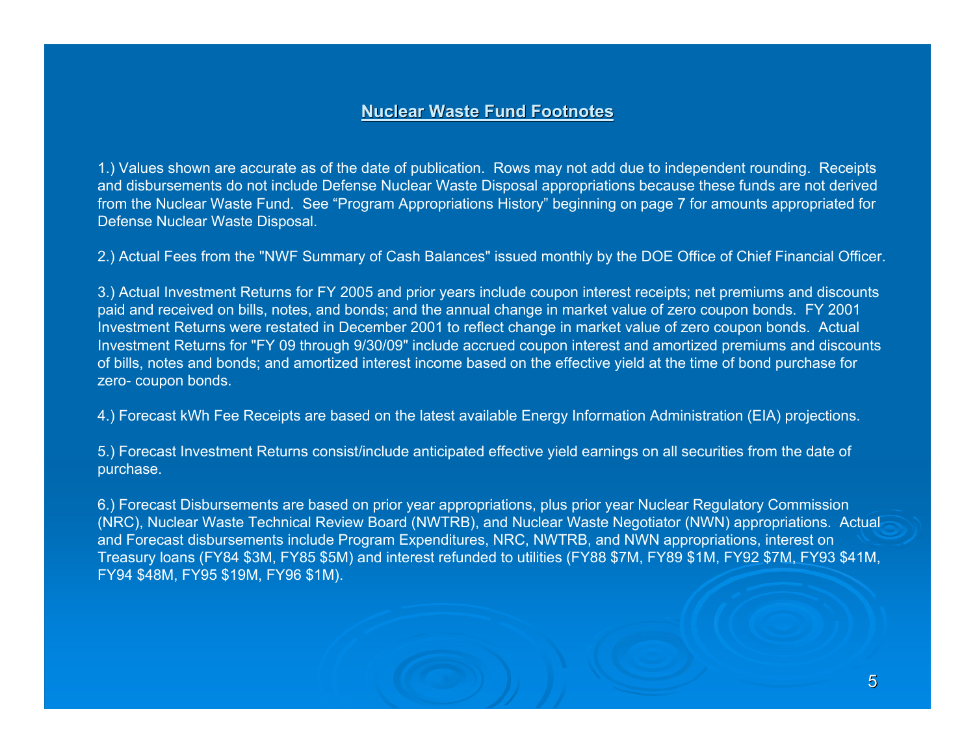### **Nuclear Waste Fund Footnotes Nuclear Waste Fund Footnotes**

1.) Values shown are accurate as of the date of publication. Rows may not add due to independent rounding. Receipts and disbursements do not include Defense Nuclear Waste Disposal appropriations because these funds are not derived from the Nuclear Waste Fund. See "Program Appropriations History" beginning on page 7 for amounts appropriated for Defense Nuclear Waste Disposal.

2.) Actual Fees from the "NWF Summary of Cash Balances" issued monthly by the DOE Office of Chief Financial Officer.

3.) Actual Investment Returns for FY 2005 and prior years include coupon interest receipts; net premiums and discounts paid and received on bills, notes, and bonds; and the annual change in market value of zero coupon bonds. FY 2001 Investment Returns were restated in December 2001 to reflect change in market value of zero coupon bonds. Actual Investment Returns for "FY 09 through 9/30/09" include accrued coupon interest and amortized premiums and discounts of bills, notes and bonds; and amortized interest income based on the effective yield at the time of bond purchase for zero- coupon bonds.

4.) Forecast kWh Fee Receipts are based on the latest available Energy Information Administration (EIA) projections.

5.) Forecast Investment Returns consist/include anticipated effective yield earnings on all securities from the date of purchase.

6.) Forecast Disbursements are based on prior year appropriations, plus prior year Nuclear Regulatory Commission (NRC), Nuclear Waste Technical Review Board (NWTRB), and Nuclear Waste Negotiator (NWN) appropriations. Actual and Forecast disbursements include Program Expenditures, NRC, NWTRB, and NWN appropriations, interest on Treasury loans (FY84 \$3M, FY85 \$5M) and interest refunded to utilities (FY88 \$7M, FY89 \$1M, FY92 \$7M, FY93 \$41M, FY94 \$48M, FY95 \$19M, FY96 \$1M).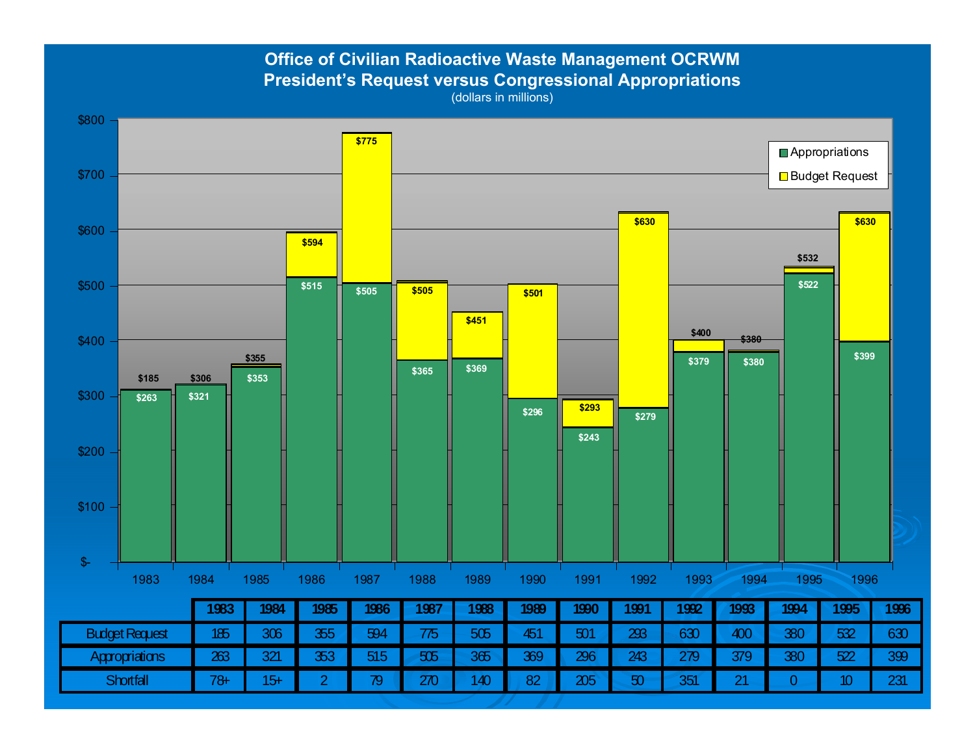**Office of Civilian Radioactive Waste Management OCRWM President's Request versus Congressional Appropriations** 

(dollars in millions)

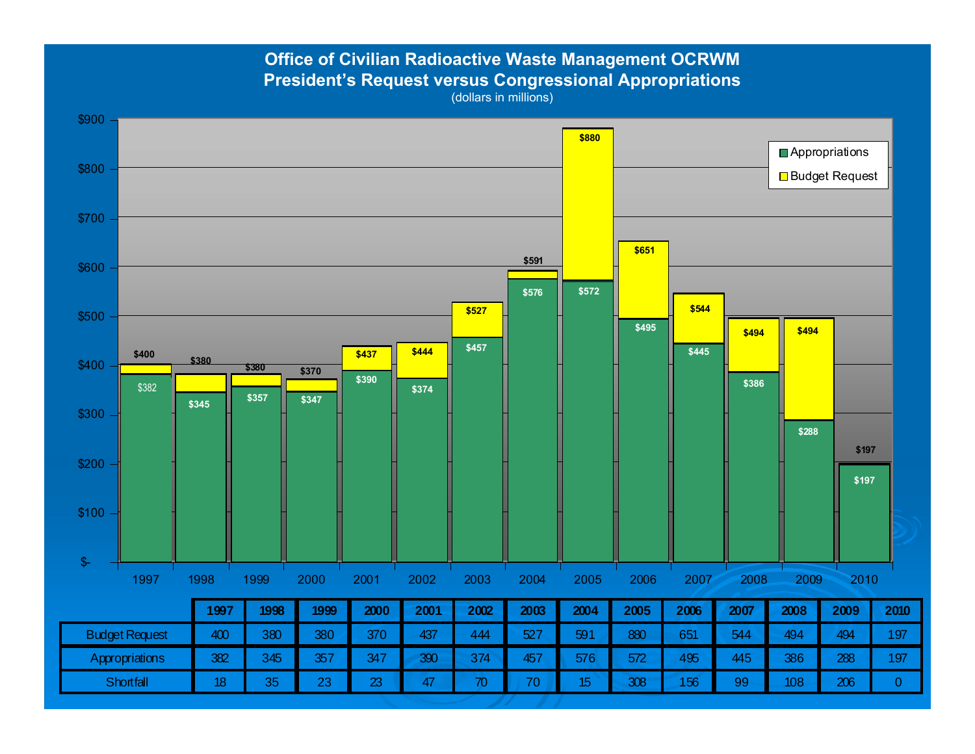**Office of Civilian Radioactive Waste Management OCRWM President's Request versus Congressional Appropriations** 

(dollars in millions)

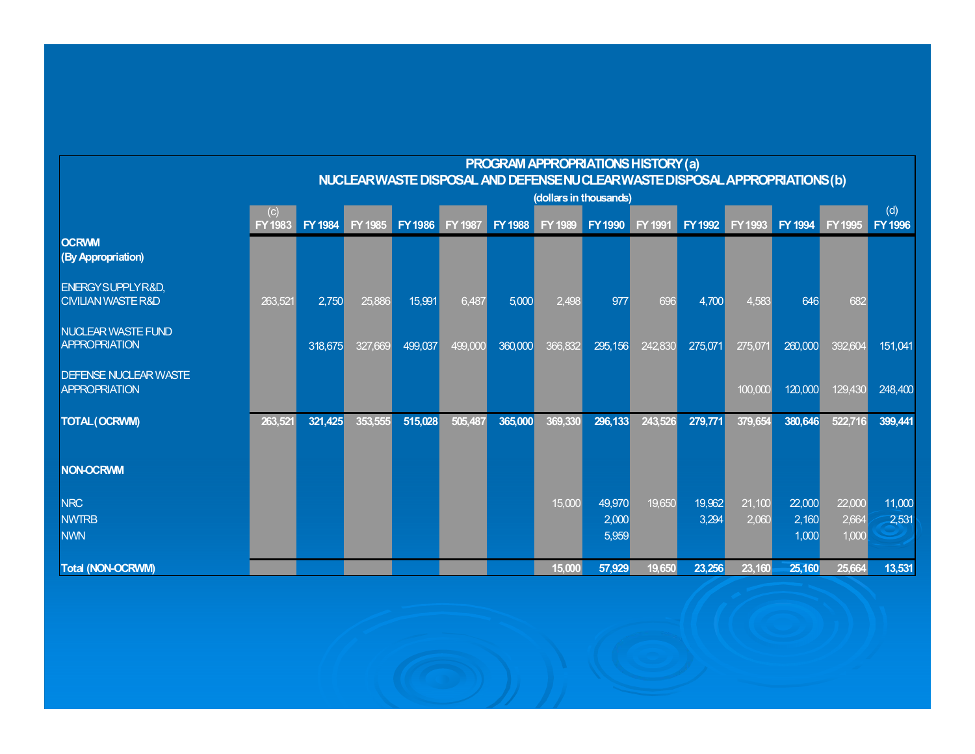|                                                                |                               |                |         |                                                                             |                |         | PROGRAM APPROPRIATIONS HISTORY (a) |                 |         |                 |                 |                 |                 |                 |
|----------------------------------------------------------------|-------------------------------|----------------|---------|-----------------------------------------------------------------------------|----------------|---------|------------------------------------|-----------------|---------|-----------------|-----------------|-----------------|-----------------|-----------------|
|                                                                |                               |                |         | NUCLEARWASTE DISPOSAL AND DEFENSE NU CLEARWASTE DISPOSAL APPROPRIATIONS (b) |                |         |                                    |                 |         |                 |                 |                 |                 |                 |
|                                                                | (dollars in thousands)<br>(d) |                |         |                                                                             |                |         |                                    |                 |         |                 |                 |                 |                 |                 |
|                                                                | (c)<br><b>FY1983</b>          | <b>FY 1984</b> | FY 1985 | <b>FY1986</b>                                                               | <b>FY 1987</b> | FY 1988 | <b>FY 1989</b>                     | <b>FY1990</b>   | FY 1991 | <b>FY 1992</b>  | <b>FY1993</b>   | FY 1994         | <b>FY1995</b>   | <b>FY 1996</b>  |
| <b>OCRWM</b><br>(By Appropriation)                             |                               |                |         |                                                                             |                |         |                                    |                 |         |                 |                 |                 |                 |                 |
| <b>ENERGY SUPPLY R&amp;D,</b><br><b>CIVILIAN WASTE R&amp;D</b> | 263,521                       | 2,750          | 25,886  | 15,991                                                                      | 6,487          | 5,000   | 2,498                              | 977             | 696     | 4,700           | 4,583           | 646             | 682             |                 |
| <b>NUCLEAR WASTE FUND</b><br><b>APPROPRIATION</b>              |                               | 318,675        | 327,669 | 499,037                                                                     | 499,000        | 360,000 | 366,832                            | 295,156         | 242,830 | 275,071         | 275,071         | 260,000         | 392,604         | 151,041         |
| <b>DEFENSE NUCLEAR WASTE</b><br><b>APPROPRIATION</b>           |                               |                |         |                                                                             |                |         |                                    |                 |         |                 | 100,000         | 120,000         | 129,430         | 248,400         |
| <b>TOTAL (OCRWM)</b>                                           | 263,521                       | 321,425        | 353,555 | 515,028                                                                     | 505,487        | 365,000 | 369,330                            | 296,133         | 243,526 | 279,771         | 379,654         | 380,646         | 522,716         | 399,441         |
| <b>NON-OCRWM</b>                                               |                               |                |         |                                                                             |                |         |                                    |                 |         |                 |                 |                 |                 |                 |
| <b>NRC</b><br><b>NWTRB</b>                                     |                               |                |         |                                                                             |                |         | 15,000                             | 49,970<br>2,000 | 19,650  | 19,962<br>3,294 | 21,100<br>2,060 | 22,000<br>2,160 | 22,000<br>2,664 | 11,000<br>2,531 |
| <b>NWN</b>                                                     |                               |                |         |                                                                             |                |         |                                    | 5,959           |         |                 |                 | 1,000           | 1,000           |                 |
| Total (NON-OCRWM)                                              |                               |                |         |                                                                             |                |         | 15,000                             | 57,929          | 19,650  | 23,256          | 23,160          | 25,160          | 25,664          | 13,531          |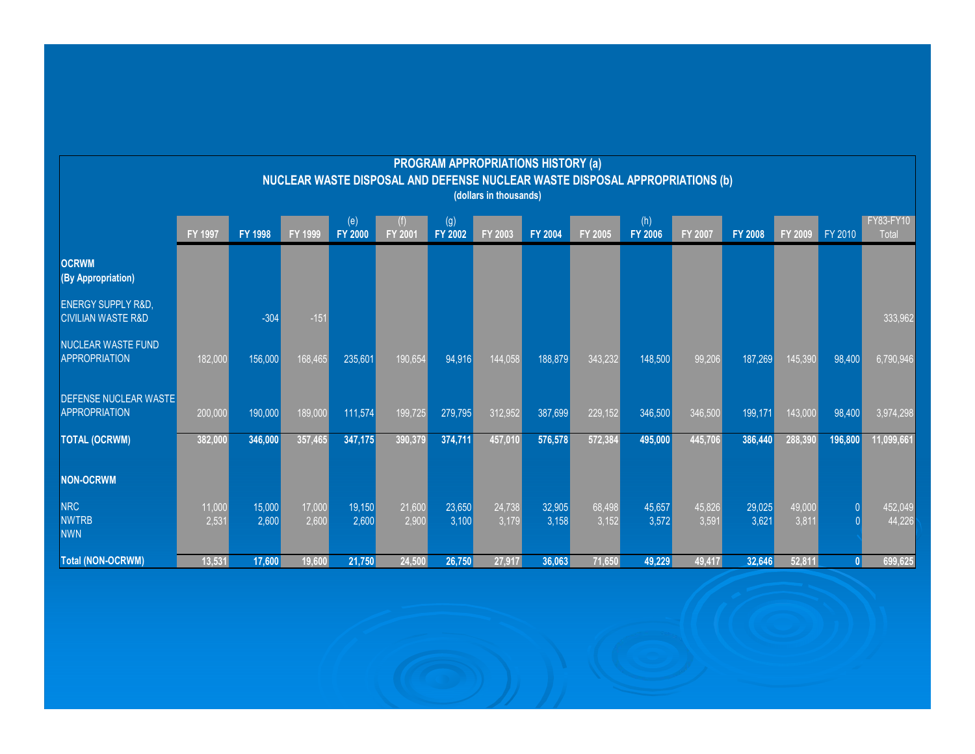|                                                                                                        |                 |                 |                 |                       |                 |                 | <b>PROGRAM APPROPRIATIONS HISTORY (a)</b> |                 |                  |                       |                 |                 |                 |         |                           |
|--------------------------------------------------------------------------------------------------------|-----------------|-----------------|-----------------|-----------------------|-----------------|-----------------|-------------------------------------------|-----------------|------------------|-----------------------|-----------------|-----------------|-----------------|---------|---------------------------|
| NUCLEAR WASTE DISPOSAL AND DEFENSE NUCLEAR WASTE DISPOSAL APPROPRIATIONS (b)<br>(dollars in thousands) |                 |                 |                 |                       |                 |                 |                                           |                 |                  |                       |                 |                 |                 |         |                           |
|                                                                                                        | <b>FY 1997</b>  | <b>FY 1998</b>  | <b>FY 1999</b>  | (e)<br><b>FY 2000</b> | <b>FY 2001</b>  | (g)<br>FY 2002  | FY 2003                                   | <b>FY 2004</b>  | <b>FY 2005</b>   | (h)<br><b>FY 2006</b> | <b>FY 2007</b>  | <b>FY 2008</b>  | FY 2009         | FY 2010 | FY83-FY10<br><b>Total</b> |
| <b>OCRWM</b><br>(By Appropriation)                                                                     |                 |                 |                 |                       |                 |                 |                                           |                 |                  |                       |                 |                 |                 |         |                           |
| <b>ENERGY SUPPLY R&amp;D.</b><br><b>CIVILIAN WASTE R&amp;D</b>                                         |                 | $-304$          | $-151$          |                       |                 |                 |                                           |                 |                  |                       |                 |                 |                 |         | 333.962                   |
| <b>NUCLEAR WASTE FUND</b><br><b>APPROPRIATION</b>                                                      | 182,000         | 156,000         | 168,465         | 235,601               | 190,654         | 94,916          | 144,058                                   | 188,879         | 343,232          | 148,500               | 99,206          | 187,269         | 145,390         | 98,400  | 6,790,946                 |
| <b>DEFENSE NUCLEAR WASTE</b><br><b>APPROPRIATION</b>                                                   | 200,000         | 190,000         | 189,000         | 111,574               | 199,725         | 279,795         | 312,952                                   | 387,699         | $\sqrt{229,152}$ | 346,500               | 346,500         | 199,171         | 143,000         | 98,400  | 3,974,298                 |
| <b>TOTAL (OCRWM)</b>                                                                                   | 382,000         | 346,000         | 357,465         | 347,175               | 390,379         | 374,711         | 457,010                                   | 576,578         | 572,384          | 495,000               | 445,706         | 386,440         | 288,390         | 196,800 | 11,099,661                |
| <b>NON-OCRWM</b>                                                                                       |                 |                 |                 |                       |                 |                 |                                           |                 |                  |                       |                 |                 |                 |         |                           |
| <b>NRC</b><br><b>NWTRB</b><br><b>NWN</b>                                                               | 11,000<br>2,531 | 15,000<br>2,600 | 17,000<br>2,600 | 19,150<br>2,600       | 21,600<br>2,900 | 23,650<br>3,100 | 24,738<br>3,179                           | 32,905<br>3,158 | 68,498<br>3,152  | 45,657<br>3,572       | 45,826<br>3,591 | 29,025<br>3,621 | 49,000<br>3,811 |         | 452,049<br>44,226         |
| <b>Total (NON-OCRWM)</b>                                                                               | 13,531          | 17,600          | 19,600          | 21,750                | 24,500          | 26,750          | 27,917                                    | 36,063          | 71,650           | 49,229                | 49,417          | 32,646          | 52,811          |         | 699,625                   |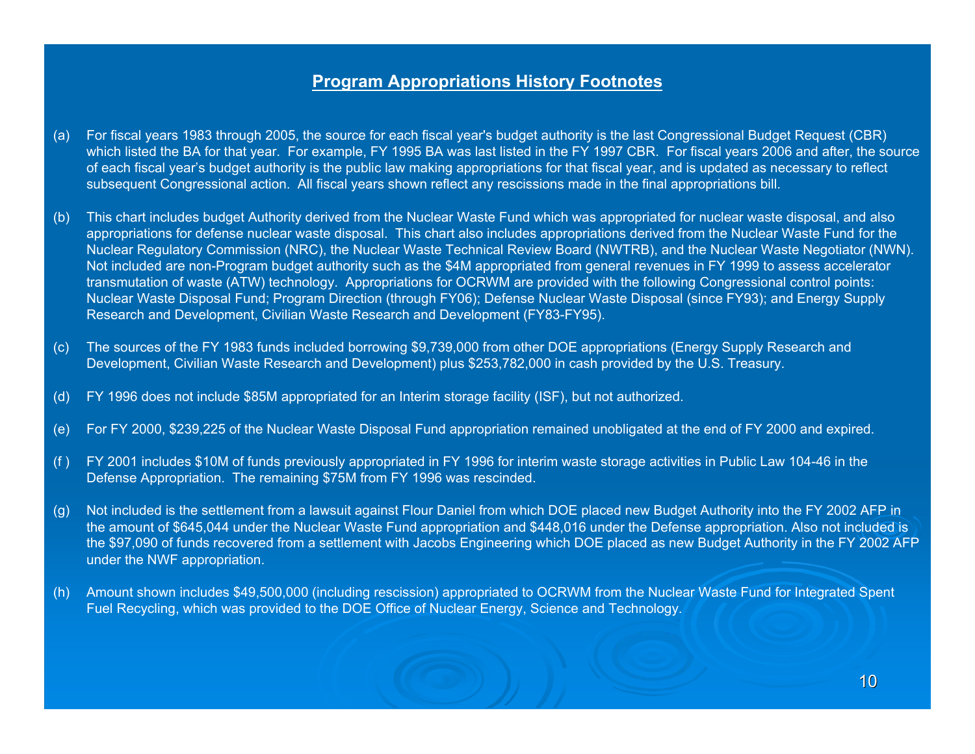#### **Program Appropriations History Footnotes**

- (a) For fiscal years 1983 through 2005, the source for each fiscal year's budget authority is the last Congressional Budget Request (CBR) which listed the BA for that year. For example, FY 1995 BA was last listed in the FY 1997 CBR. For fiscal years 2006 and after, the source of each fiscal year's budget authority is the public law making appropriations for that fiscal year, and is updated as necessary to reflect subsequent Congressional action. All fiscal years shown reflect any rescissions made in the final appropriations bill.
- (b) This chart includes budget Authority derived from the Nuclear Waste Fund which was appropriated for nuclear waste disposal, and also appropriations for defense nuclear waste disposal. This chart also includes appropriations derived from the Nuclear Waste Fund for the Nuclear Regulatory Commission (NRC), the Nuclear Waste Technical Review Board (NWTRB), and the Nuclear Waste Negotiator (NWN). Not included are non-Program budget authority such as the \$4M appropriated from general revenues in FY 1999 to assess accelerator transmutation of waste (ATW) technology. Appropriations for OCRWM are provided with the following Congressional control points: Nuclear Waste Disposal Fund; Program Direction (through FY06); Defense Nuclear Waste Disposal (since FY93); and Energy Supply Research and Development, Civilian Waste Research and Development (FY83-FY95).
- (c) The sources of the FY 1983 funds included borrowing \$9,739,000 from other DOE appropriations (Energy Supply Research and Development, Civilian Waste Research and Development) plus \$253,782,000 in cash provided by the U.S. Treasury.
- (d) FY 1996 does not include \$85M appropriated for an Interim storage facility (ISF), but not authorized.
- (e) For FY 2000, \$239,225 of the Nuclear Waste Disposal Fund appropriation remained unobligated at the end of FY 2000 and expired.
- (f ) FY 2001 includes \$10M of funds previously appropriated in FY 1996 for interim waste storage activities in Public Law 104-46 in the Defense Appropriation. The remaining \$75M from FY 1996 was rescinded.
- (g) Not included is the settlement from a lawsuit against Flour Daniel from which DOE placed new Budget Authority into the FY 2002 AFP in the amount of \$645,044 under the Nuclear Waste Fund appropriation and \$448,016 under the Defense appropriation. Also not included is the \$97,090 of funds recovered from a settlement with Jacobs Engineering which DOE placed as new Budget Authority in the FY 2002 AFP under the NWF appropriation.
- (h) Amount shown includes \$49,500,000 (including rescission) appropriated to OCRWM from the Nuclear Waste Fund for Integrated Spent Fuel Recycling, which was provided to the DOE Office of Nuclear Energy, Science and Technology.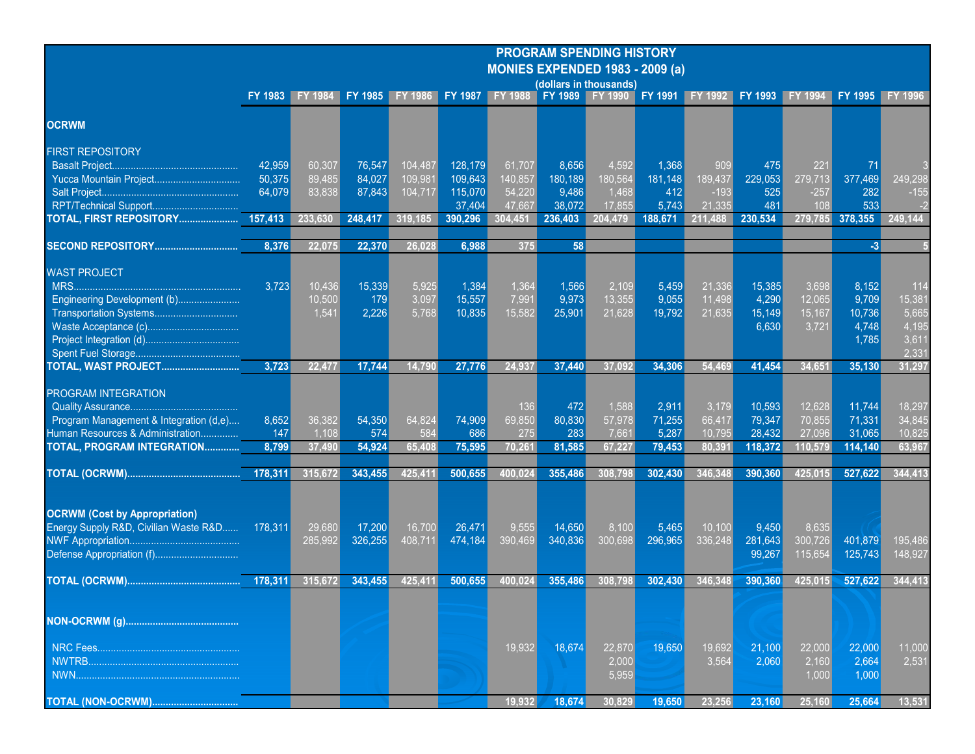| <b>PROGRAM SPENDING HISTORY</b>          |  |
|------------------------------------------|--|
| <u> MONIES EXPENDED 1983 - 2009 (a).</u> |  |

|                                        | (dollars in thousands) |                                         |         |         |         |                |                 |         |          |                 |                                 |         |         |                 |
|----------------------------------------|------------------------|-----------------------------------------|---------|---------|---------|----------------|-----------------|---------|----------|-----------------|---------------------------------|---------|---------|-----------------|
|                                        |                        | FY 1983 FY 1984 FY 1985 FY 1986 FY 1987 |         |         |         | <b>FY 1988</b> | FY 1989 FY 1990 |         |          |                 | FY 1991 FY 1992 FY 1993 FY 1994 |         |         | FY 1995 FY 1996 |
| <b>OCRWM</b>                           |                        |                                         |         |         |         |                |                 |         |          |                 |                                 |         |         |                 |
| <b>FIRST REPOSITORY</b>                |                        |                                         |         |         |         |                |                 |         |          |                 |                                 |         |         |                 |
|                                        | 42,959                 | 60,307                                  | 76,547  | 104,487 | 128,179 | 61,707         | 8,656           | 4,592   | 1,368    | 909             | 475                             | 221     | -71     |                 |
|                                        | 50,375                 | 89,485                                  | 84,027  | 109,981 | 109,643 | 140,857        | 180,189         | 180,564 | 181, 148 | 189,437         | 229,053                         | 279,713 | 377,469 | 249,298         |
|                                        | 64,079                 | 83,838                                  | 87,843  | 104,717 | 115,070 | 54,220         | 9,486           | 1.468   | 412      | $-193$          | 525                             | $-257$  | 282     | $-155$          |
|                                        |                        |                                         |         |         | 37.404  | 47.667         | 38.072          | 17.855  | 5,743    | 21.335          | 481                             | 108     | 533     |                 |
| TOTAL, FIRST REPOSITORY 157,413        |                        | 233,630                                 | 248,417 | 319,185 | 390,296 | 304,451        | 236,403         | 204.479 | 188,671  | 211.488         | 230.534                         | 279,785 | 378,355 | 249,144         |
| <b>SECOND REPOSITORY</b>               | 8,376                  | 22.075                                  | 22,370  | 26,028  | 6,988   | 375            | 58              |         |          |                 |                                 |         | $-3$    |                 |
|                                        |                        |                                         |         |         |         |                |                 |         |          |                 |                                 |         |         |                 |
| <b>WAST PROJECT</b>                    |                        |                                         |         |         |         |                |                 |         |          |                 |                                 |         |         |                 |
|                                        | 3,723                  | 10,436                                  | 15,339  | 5,925   | 1,384   | 1,364          | 1,566           | 2,109   | 5,459    | 21,336          | 15,385                          | 3,698   | 8,152   | 114             |
| Engineering Development (b)            |                        | 10.500                                  | 179     | 3,097   | 15,557  | 7,991          | 9,973           | 13,355  | 9,055    | 11,498          | 4,290                           | 12,065  | 9,709   | 15,381          |
| Transportation Systems                 |                        | 1,541                                   | 2,226   | 5,768   | 10,835  | 15,582         | 25,901          | 21,628  | 19,792   | $\sqrt{21,635}$ | 15,149                          | 15,167  | 10,736  | 5,665           |
|                                        |                        |                                         |         |         |         |                |                 |         |          |                 | 6,630                           | 3,721   | 4,748   | 4,195           |
|                                        |                        |                                         |         |         |         |                |                 |         |          |                 |                                 |         | 1,785   | 3,611           |
|                                        |                        |                                         |         |         |         |                |                 |         |          |                 |                                 |         |         | 2.331           |
| TOTAL, WAST PROJECT                    | 3,723                  | 22.477                                  | 17,744  | 14,790  | 27,776  | 24,937         | 37,440          | 37,092  | 34,306   | 54,469          | 41,454                          | 34,651  | 35,130  | 31,297          |
|                                        |                        |                                         |         |         |         |                |                 |         |          |                 |                                 |         |         |                 |
| <b>PROGRAM INTEGRATION</b>             |                        |                                         |         |         |         |                |                 |         |          |                 |                                 |         |         |                 |
|                                        |                        |                                         |         |         |         | 136            | 472             | 1,588   | 2,911    | 3,179           | 10,593                          | 12,628  | 11,744  | 18,297          |
| Program Management & Integration (d,e) | 8,652                  | 36,382                                  | 54,350  | 64,824  | 74,909  | 69,850         | 80,830          | 57,978  | 71,255   | 66,417          | 79,347                          | 70,855  | 71,331  | 34,845          |
| Human Resources & Administration       | 147                    | 1.108                                   | 574     | 584     | 686     | 275            | 283             | 7,661   | 5,287    | 10,795          | 28,432                          | 27,096  | 31,065  | 10,825          |
| TOTAL, PROGRAM INTEGRATION             | 8,799                  | 37,490                                  | 54,924  | 65,408  | 75,595  | 70,261         | 81,585          | 67,227  | 79,453   | 80,391          | 118,372                         | 110,579 | 114,140 | 63,967          |
|                                        | 178,311                | 315,672                                 | 343,455 | 425,411 | 500,655 | 400,024        | 355,486         | 308,798 | 302,430  | 346,348         | 390,360                         | 425,015 | 527,622 | 344,413         |
|                                        |                        |                                         |         |         |         |                |                 |         |          |                 |                                 |         |         |                 |
| <b>OCRWM (Cost by Appropriation)</b>   |                        |                                         |         |         |         |                |                 |         |          |                 |                                 |         |         |                 |
| Energy Supply R&D, Civilian Waste R&D  | 178,311                | 29,680                                  | 17,200  | 16,700  | 26,471  | 9,555          | 14,650          | 8,100   | 5,465    | 10,100          | 9,450                           | 8,635   |         |                 |
|                                        |                        | 285,992                                 | 326,255 | 408,711 | 474,184 | 390,469        | 340,836         | 300,698 | 296,965  | 336,248         | 281,643                         | 300,726 | 401,879 | 195,486         |
| Defense Appropriation (f)              |                        |                                         |         |         |         |                |                 |         |          |                 | 99,267                          | 115,654 | 125,743 | 148,927         |
|                                        | 178,311                | 315,672                                 | 343,455 | 425,411 | 500,655 | 400,024        | 355,486         | 308,798 | 302,430  | 346,348         | 390,360                         | 425,015 | 527,622 | 344,413         |
|                                        |                        |                                         |         |         |         |                |                 |         |          |                 |                                 |         |         |                 |
|                                        |                        |                                         |         |         |         |                |                 |         |          |                 |                                 |         |         |                 |
|                                        |                        |                                         |         |         |         |                |                 |         |          |                 |                                 |         |         |                 |
|                                        |                        |                                         |         |         |         | 19,932         | 18,674          | 22.870  | 19,650   | 19,692          | 21,100                          | 22.000  | 22,000  | 11,000          |
|                                        |                        |                                         |         |         |         |                |                 | 2,000   |          | 3,564           | 2,060                           | 2,160   | 2,664   | 2,531           |
|                                        |                        |                                         |         |         |         |                |                 | 5,959   |          |                 |                                 | 1,000   | 1,000   |                 |
| <b>TOTAL (NON-OCRWM)</b>               |                        |                                         |         |         |         | 19,932         | 18,674          | 30.829  | 19,650   | 23,256          | 23,160                          | 25,160  | 25.664  | 13,531          |
|                                        |                        |                                         |         |         |         |                |                 |         |          |                 |                                 |         |         |                 |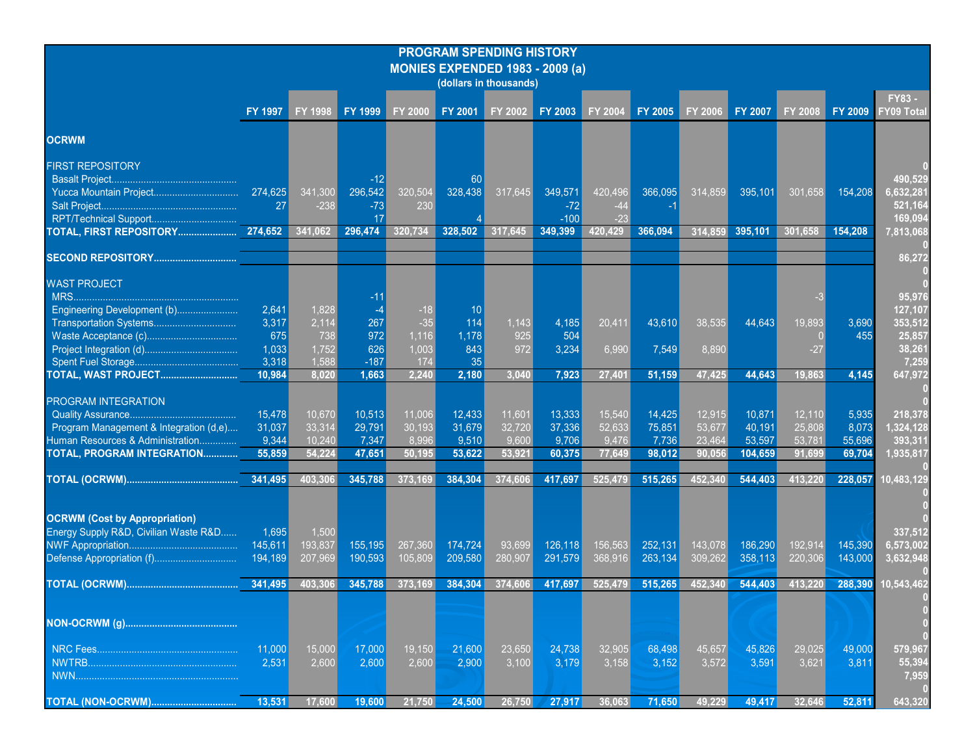#### **PROGRAM SPENDING HISTORY MONIES EXPENDED 1983 - 2009 (a)**

|                                        | (dollars in thousands) |                |                    |                |                    |         |                    |                  |                    |                |                    |                |                    |                            |
|----------------------------------------|------------------------|----------------|--------------------|----------------|--------------------|---------|--------------------|------------------|--------------------|----------------|--------------------|----------------|--------------------|----------------------------|
|                                        | FY 1997                | <b>FY 1998</b> | FY 1999            | <b>FY 2000</b> | <b>FY 2001</b>     | FY 2002 | <b>FY 2003</b>     | FY 2004          | FY 2005            | <b>FY 2006</b> | <b>FY 2007</b>     | <b>FY 2008</b> | <b>FY 2009</b>     | FY83-<br><b>FY09 Total</b> |
| <b>OCRWM</b>                           |                        |                |                    |                |                    |         |                    |                  |                    |                |                    |                |                    |                            |
| <b>FIRST REPOSITORY</b>                |                        |                |                    |                |                    |         |                    |                  |                    |                |                    |                |                    |                            |
| <b>Basalt Project</b>                  |                        |                |                    |                | 60                 |         |                    |                  |                    |                |                    |                |                    | 490,529                    |
|                                        | 274,625                | 341,300        | 296,542            | 320,504        | 328,438            | 317,645 | 349,571            | 420,496          | 366,095            | 314,859        | 395,101            | 301,658        | 154,208            | 6,632,281                  |
| Salt Project.                          | 27                     | $-238$         | $-73$              | 230            |                    |         | $-72$              | -44              |                    |                |                    |                |                    | 521,164                    |
|                                        |                        | 341,062        | 17<br>296,474      | 320.734        | 328,502            | 317.645 | $-100$<br>349,399  | $-23$<br>420,429 | 366,094            | 314.859        | 395,101            | 301,658        | 154,208            | 169.094                    |
|                                        |                        |                |                    |                |                    |         |                    |                  |                    |                |                    |                |                    | 7,813,068                  |
| <b>SECOND REPOSITORY</b> .             |                        |                |                    |                |                    |         |                    |                  |                    |                |                    |                |                    | 86,272                     |
| <b>WAST PROJECT</b>                    |                        |                |                    |                |                    |         |                    |                  |                    |                |                    |                |                    |                            |
|                                        |                        |                |                    |                |                    |         |                    |                  |                    |                |                    |                |                    | 95.976                     |
| Engineering Development (b)            | 2,641                  | 1,828          |                    | $-18$          | 10                 |         |                    |                  |                    |                |                    |                |                    | 127,107                    |
| Transportation Systems                 | 3,317                  | 2,114          | 267                | $-35$          | 114                | 1.143   | 4,185              | 20,411           | 43,610             | 38,535         | 44,643             | 19,893         | 3,690              | 353,512                    |
|                                        | 675                    | 738            | 972                | 1,116          | 1,178              | 925     | 504                |                  |                    |                |                    | $\overline{0}$ | 455                | 25,857                     |
|                                        | 1,033<br>3,318         | 1,752          | 626<br>$-187$      | 1.003<br>174   | 843                | 972     | 3,234              | 6,990            | 7,549              | 8,890          |                    | $-27$          |                    | 38,261                     |
| TOTAL, WAST PROJECT                    | 10,984                 | 1,588<br>8.020 | 1,663              | 2.240          | 35<br>2,180        | 3.040   | 7,923              | 27,401           | 51,159             | 47,425         | 44,643             | 19.863         | 4,145              | 7,259<br>647,972           |
|                                        |                        |                |                    |                |                    |         |                    |                  |                    |                |                    |                |                    |                            |
| <b>PROGRAM INTEGRATION</b>             |                        |                |                    |                |                    |         |                    |                  |                    |                |                    |                |                    |                            |
|                                        | 15,478                 | 10,670         | 10,513             | 11,006         | 12,433             | 11,601  | 13,333             | 15,540           | 14,425             | 12,915         | 10,871             | 12,110         | 5,935              | 218,378                    |
| Program Management & Integration (d,e) | 31,037                 | 33,314         | 29,791             | 30,193         | 31,679             | 32,720  | 37,336             | 52,633           | 75,851             | 53,677         | 40,191             | 25,808         | 8,073              | 1,324,128                  |
| Human Resources & Administration       | 9.344                  | 10.240         | 7,347              | 8.996          | 9,510              | 9.600   | 9,706              | 9,476            | 7,736              | 23.464         | 53,597             | 53,781         | 55,696             | 393,311                    |
| TOTAL, PROGRAM INTEGRATION             | 55,859                 | 54.224         | 47.651             | 50.195         | 53,622             | 53,921  | 60.375             | 77,649           | 98.012             | 90.056         | 104.659            | 91,699         | 69,704             | 1,935,817                  |
|                                        | 341,495                | 403,306        | 345,788            | 373,169        | 384,304            | 374,606 | 417,697            | 525,479          | 515,265            | 452,340        | 544,403            | 413,220        | 228,057            | 10,483,129                 |
|                                        |                        |                |                    |                |                    |         |                    |                  |                    |                |                    |                |                    |                            |
| <b>OCRWM (Cost by Appropriation)</b>   |                        |                |                    |                |                    |         |                    |                  |                    |                |                    |                |                    |                            |
| Energy Supply R&D, Civilian Waste R&D  | 1,695                  | 1,500          |                    |                |                    |         |                    |                  |                    |                |                    |                |                    | 337,512                    |
|                                        | 145,611                | 193.837        | 155,195<br>190,593 | 267.360        | 174,724<br>209,580 | 93.699  | 126,118<br>291,579 | 156.563          | 252,131<br>263,134 | 143.078        | 186,290<br>358,113 | 192.914        | 145,390<br>143,000 | 6.573.002                  |
|                                        | 194,189                | 207,969        |                    | 105,809        |                    | 280,907 |                    | 368,916          |                    | 309,262        |                    | 220,306        |                    | 3,632,948                  |
|                                        |                        | 403,306        | 345,788            | 373,169        | 384,304            | 374,606 | 417,697            | 525,479          | 515,265            | 452,340        | 544,403            | 413,220        | 288,390            | 10,543,462                 |
|                                        |                        |                |                    |                |                    |         |                    |                  |                    |                |                    |                |                    |                            |
|                                        |                        |                |                    |                |                    |         |                    |                  |                    |                |                    |                |                    |                            |
|                                        | 11,000                 | 15,000         | 17,000             | 19,150         | 21,600             | 23,650  | 24,738             | 32,905           | 68,498             | 45,657         | 45,826             | 29,025         | 49,000             | 579,967                    |
|                                        | 2,531                  | 2,600          | 2,600              | 2,600          | 2,900              | 3,100   | 3,179              | 3,158            | 3,152              | 3,572          | 3,591              | 3,621          | 3,811              | 55,394                     |
|                                        |                        |                |                    |                |                    |         |                    |                  |                    |                |                    |                |                    | 7,959                      |
| TOTAL (NON-OCRWM)                      | 13,531                 | 17.600         | 19,600             | 21.750         | 24.500             | 26.750  | 27.917             | 36.063           | 71.650             | 49.229         | 49.417             | 32.646         | 52.811             | 643,320                    |
|                                        |                        |                |                    |                |                    |         |                    |                  |                    |                |                    |                |                    |                            |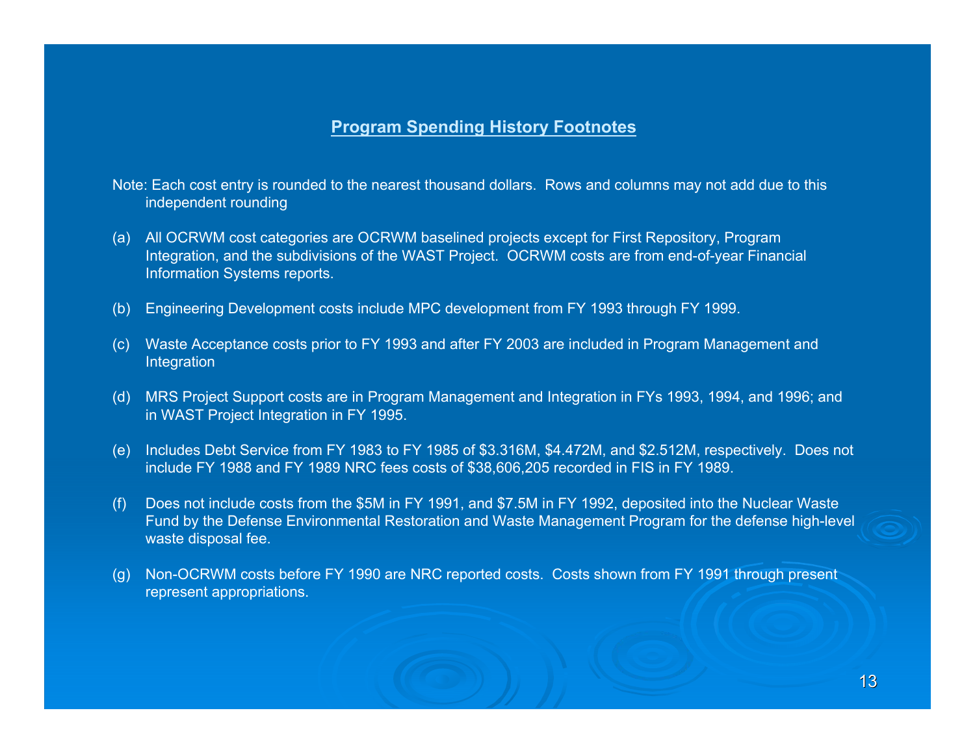## **Program Spending History Footnotes**

- Note: Each cost entry is rounded to the nearest thousand dollars. Rows and columns may not add due to this independent rounding
- (a) All OCRWM cost categories are OCRWM baselined projects except for First Repository, Program Integration, and the subdivisions of the WAST Project. OCRWM costs are from end-of-year Financial Information Systems reports.
- (b) Engineering Development costs include MPC development from FY 1993 through FY 1999.
- (c) Waste Acceptance costs prior to FY 1993 and after FY 2003 are included in Program Management and Integration
- (d) MRS Project Support costs are in Program Management and Integration in FYs 1993, 1994, and 1996; and in WAST Project Integration in FY 1995.
- (e) Includes Debt Service from FY 1983 to FY 1985 of \$3.316M, \$4.472M, and \$2.512M, respectively. Does not include FY 1988 and FY 1989 NRC fees costs of \$38,606,205 recorded in FIS in FY 1989.
- (f) Does not include costs from the \$5M in FY 1991, and \$7.5M in FY 1992, deposited into the Nuclear Waste Fund by the Defense Environmental Restoration and Waste Management Program for the defense high-level waste disposal fee.
- (g) Non-OCRWM costs before FY 1990 are NRC reported costs. Costs shown from FY 1991 through present represent appropriations.